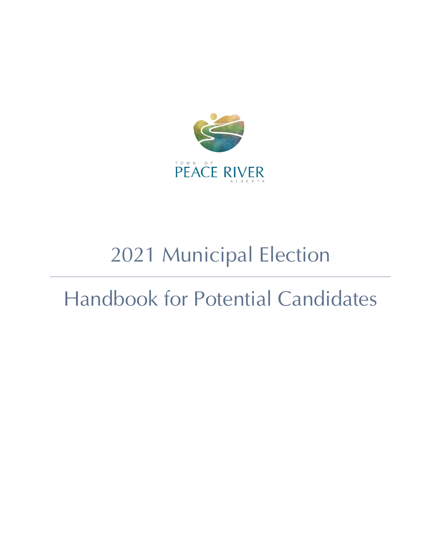

# 2021 Municipal Election

# Handbook for Potential Candidates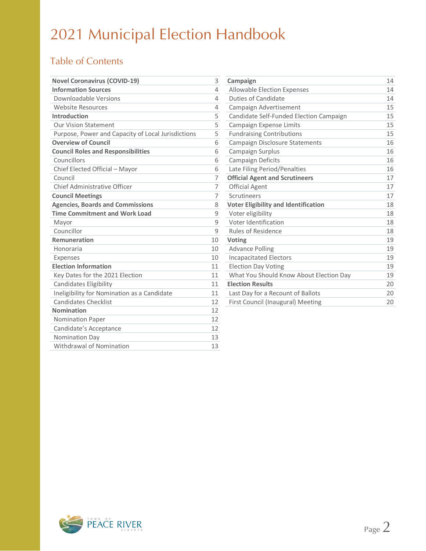### Table of Contents

| <b>Novel Coronavirus (COVID-19)</b>                | 3              | Campaign                                    | 14 |
|----------------------------------------------------|----------------|---------------------------------------------|----|
| <b>Information Sources</b>                         | 4              | <b>Allowable Election Expenses</b>          | 14 |
| Downloadable Versions                              | 4              | Duties of Candidate                         | 14 |
| Website Resources                                  | 4              | Campaign Advertisement                      | 15 |
| Introduction                                       | 5              | Candidate Self-Funded Election Campaign     | 15 |
| <b>Our Vision Statement</b>                        | 5              | Campaign Expense Limits                     | 15 |
| Purpose, Power and Capacity of Local Jurisdictions | 5              | <b>Fundraising Contributions</b>            | 15 |
| <b>Overview of Council</b>                         | 6              | Campaign Disclosure Statements              | 16 |
| <b>Council Roles and Responsibilities</b>          | 6              | Campaign Surplus                            | 16 |
| Councillors                                        | 6              | Campaign Deficits                           | 16 |
| Chief Elected Official - Mayor                     | 6              | Late Filing Period/Penalties                | 16 |
| Council                                            | 7              | <b>Official Agent and Scrutineers</b>       | 17 |
| Chief Administrative Officer                       | $\overline{7}$ | <b>Official Agent</b>                       | 17 |
| <b>Council Meetings</b>                            | 7              | Scrutineers                                 | 17 |
| <b>Agencies, Boards and Commissions</b>            | 8              | <b>Voter Eligibility and Identification</b> | 18 |
| <b>Time Commitment and Work Load</b>               | 9              | Voter eligibility                           | 18 |
| Mayor                                              | 9              | Voter Identification                        | 18 |
| Councillor                                         | 9              | <b>Rules of Residence</b>                   | 18 |
| <b>Remuneration</b>                                | 10             | Voting                                      | 19 |
| Honoraria                                          | 10             | <b>Advance Polling</b>                      | 19 |
| Expenses                                           | 10             | <b>Incapacitated Electors</b>               | 19 |
| <b>Election Information</b>                        | 11             | <b>Election Day Voting</b>                  | 19 |
| Key Dates for the 2021 Election                    | 11             | What You Should Know About Election Day     | 19 |
| Candidates Eligibility                             | 11             | <b>Election Results</b>                     | 20 |
| Ineligibility for Nomination as a Candidate        | 11             | Last Day for a Recount of Ballots           | 20 |
| <b>Candidates Checklist</b>                        | 12             | First Council (Inaugural) Meeting           | 20 |
| <b>Nomination</b>                                  | 12             |                                             |    |
| Nomination Paper                                   | 12             |                                             |    |
| Candidate's Acceptance                             | 12             |                                             |    |
| Nomination Day                                     | 13             |                                             |    |
| Withdrawal of Nomination                           | 13             |                                             |    |

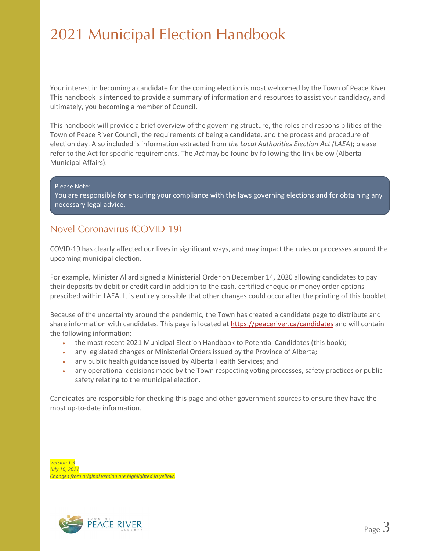Your interest in becoming a candidate for the coming election is most welcomed by the Town of Peace River. This handbook is intended to provide a summary of information and resources to assist your candidacy, and ultimately, you becoming a member of Council.

This handbook will provide a brief overview of the governing structure, the roles and responsibilities of the Town of Peace River Council, the requirements of being a candidate, and the process and procedure of election day. Also included is information extracted from *the Local Authorities Election Act (LAEA*); please refer to the Act for specific requirements. The *Act* may be found by following the link below (Alberta Municipal Affairs).

Please Note:

You are responsible for ensuring your compliance with the laws governing elections and for obtaining any necessary legal advice.

### Novel Coronavirus (COVID-19)

COVID-19 has clearly affected our lives in significant ways, and may impact the rules or processes around the upcoming municipal election.

For example, Minister Allard signed a Ministerial Order on December 14, 2020 allowing candidates to pay their deposits by debit or credit card in addition to the cash, certified cheque or money order options prescibed within LAEA. It is entirely possible that other changes could occur after the printing of this booklet.

Because of the uncertainty around the pandemic, the Town has created a candidate page to distribute and share information with candidates. This page is located at<https://peaceriver.ca/candidates> and will contain the following information:

- the most recent 2021 Municipal Election Handbook to Potential Candidates (this book);
- any legislated changes or Ministerial Orders issued by the Province of Alberta;
- any public health guidance issued by Alberta Health Services; and
- any operational decisions made by the Town respecting voting processes, safety practices or public safety relating to the municipal election.

Candidates are responsible for checking this page and other government sources to ensure they have the most up-to-date information.

*Version 1.3 July 16, 2021 Changes from original version are highlighted in yellow.*

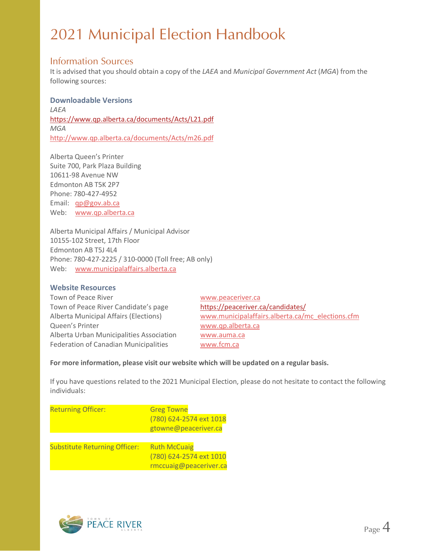### Information Sources

It is advised that you should obtain a copy of the *LAEA* and *Municipal Government Act* (*MGA*) from the following sources:

### **Downloadable Versions** *LAEA* <https://www.qp.alberta.ca/documents/Acts/L21.pdf> *MGA* <http://www.qp.alberta.ca/documents/Acts/m26.pdf>

Alberta Queen's Printer Suite 700, Park Plaza Building 10611-98 Avenue NW Edmonton AB T5K 2P7 Phone: 780-427-4952 Email: [qp@gov.ab.ca](mailto:qp@gov.ab.ca) Web: [www.qp.alberta.ca](http://www.qp.alberta.ca/)

Alberta Municipal Affairs / Municipal Advisor 10155-102 Street, 17th Floor Edmonton AB T5J 4L4 Phone: 780-427-2225 / 310-0000 (Toll free; AB only) Web: [www.municipalaffairs.alberta.ca](http://www.municipalaffairs.alberta.ca/)

### **Website Resources**

Town of Peace River **[www.peaceriver.ca](http://www.peaceriver.ca/)** Town of Peace River Candidate's page <https://peaceriver.ca/candidates/> Queen's Printer [www.qp.alberta.ca](http://www.qp.alberta.ca/) Alberta Urban Municipalities Association [www.auma.ca](http://www.auma.ca/) Federation of Canadian Municipalities [www.fcm.ca](http://www.fcm.ca/)

Alberta Municipal Affairs (Elections) [www.municipalaffairs.alberta.ca/mc\\_elections.cfm](http://www.municipalaffairs.alberta.ca/mc_elections.cfm)

#### **For more information, please visit our website which will be updated on a regular basis.**

If you have questions related to the 2021 Municipal Election, please do not hesitate to contact the following individuals:

| <b>Returning Officer:</b>            | <b>Greg Towne</b><br>(780) 624-2574 ext 1018<br>gtowne@peaceriver.ca     |
|--------------------------------------|--------------------------------------------------------------------------|
| <b>Substitute Returning Officer:</b> | <b>Ruth McCuaig</b><br>(780) 624-2574 ext 1010<br>rmccuaig@peaceriver.ca |

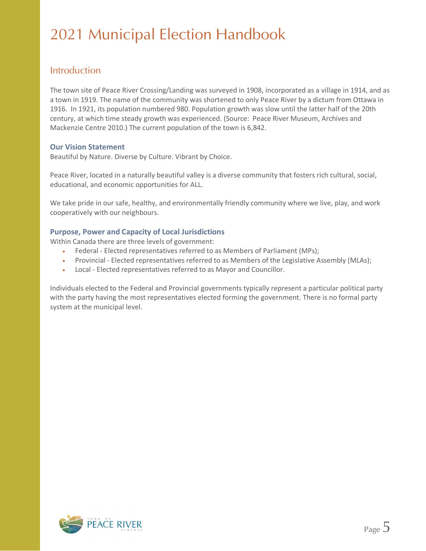### Introduction

The town site of Peace River Crossing/Landing was surveyed in 1908, incorporated as a village in 1914, and as a town in 1919. The name of the community was shortened to only Peace River by a dictum from Ottawa in 1916. In 1921, its population numbered 980. Population growth was slow until the latter half of the 20th century, at which time steady growth was experienced. (Source: Peace River Museum, Archives and Mackenzie Centre 2010.) The current population of the town is 6,842.

### **Our Vision Statement**

Beautiful by Nature. Diverse by Culture. Vibrant by Choice.

Peace River, located in a naturally beautiful valley is a diverse community that fosters rich cultural, social, educational, and economic opportunities for ALL.

We take pride in our safe, healthy, and environmentally friendly community where we live, play, and work cooperatively with our neighbours.

### **Purpose, Power and Capacity of Local Jurisdictions**

Within Canada there are three levels of government:

- Federal Elected representatives referred to as Members of Parliament (MPs);
- Provincial Elected representatives referred to as Members of the Legislative Assembly (MLAs);
- Local Elected representatives referred to as Mayor and Councillor.

Individuals elected to the Federal and Provincial governments typically represent a particular political party with the party having the most representatives elected forming the government. There is no formal party system at the municipal level.

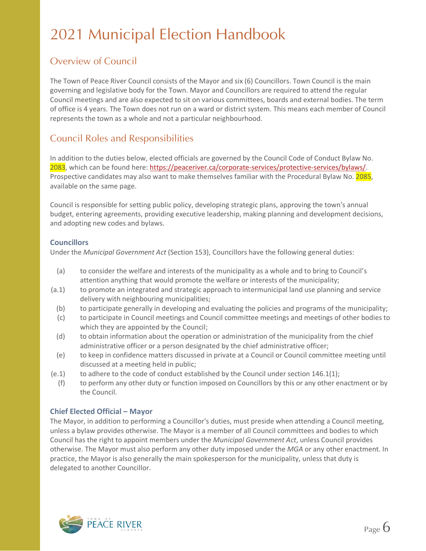### Overview of Council

The Town of Peace River Council consists of the Mayor and six (6) Councillors. Town Council is the main governing and legislative body for the Town. Mayor and Councillors are required to attend the regular Council meetings and are also expected to sit on various committees, boards and external bodies. The term of office is 4 years. The Town does not run on a ward or district system. This means each member of Council represents the town as a whole and not a particular neighbourhood.

### Council Roles and Responsibilities

In addition to the duties below, elected officials are governed by the Council Code of Conduct Bylaw No. 2083, which can be found here: [https://peaceriver.ca/corporate-services/protective-services/bylaws/.](https://peaceriver.ca/corporate-services/protective-services/bylaws/) Prospective candidates may also want to make themselves familiar with the Procedural Bylaw No. 2085, available on the same page.

Council is responsible for setting public policy, developing strategic plans, approving the town's annual budget, entering agreements, providing executive leadership, making planning and development decisions, and adopting new codes and bylaws.

### **Councillors**

Under the *Municipal Government Act* (Section 153), Councillors have the following general duties:

- (a) to consider the welfare and interests of the municipality as a whole and to bring to Council's attention anything that would promote the welfare or interests of the municipality;
- (a.1) to promote an integrated and strategic approach to intermunicipal land use planning and service delivery with neighbouring municipalities;
	- (b) to participate generally in developing and evaluating the policies and programs of the municipality;
	- (c) to participate in Council meetings and Council committee meetings and meetings of other bodies to which they are appointed by the Council;
	- (d) to obtain information about the operation or administration of the municipality from the chief administrative officer or a person designated by the chief administrative officer;
	- (e) to keep in confidence matters discussed in private at a Council or Council committee meeting until discussed at a meeting held in public;
- (e.1) to adhere to the code of conduct established by the Council under section 146.1(1);
	- (f) to perform any other duty or function imposed on Councillors by this or any other enactment or by the Council.

### **Chief Elected Official – Mayor**

The Mayor, in addition to performing a Councillor's duties, must preside when attending a Council meeting, unless a bylaw provides otherwise. The Mayor is a member of all Council committees and bodies to which Council has the right to appoint members under the *Municipal Government Act*, unless Council provides otherwise. The Mayor must also perform any other duty imposed under the *MGA* or any other enactment. In practice, the Mayor is also generally the main spokesperson for the municipality, unless that duty is delegated to another Councillor.

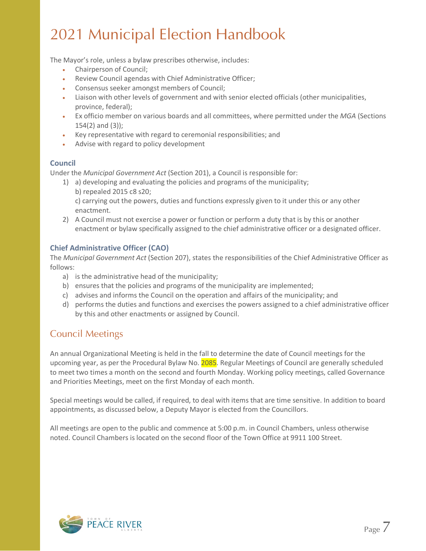The Mayor's role, unless a bylaw prescribes otherwise, includes:

- Chairperson of Council;
- Review Council agendas with Chief Administrative Officer;
- Consensus seeker amongst members of Council;
- Liaison with other levels of government and with senior elected officials (other municipalities, province, federal);
- Ex officio member on various boards and all committees, where permitted under the *MGA* (Sections 154(2) and (3));
- Key representative with regard to ceremonial responsibilities; and
- Advise with regard to policy development

### **Council**

Under the *Municipal Government Act* (Section 201), a Council is responsible for:

1) a) developing and evaluating the policies and programs of the municipality; b) repealed 2015 c8 s20;

c) carrying out the powers, duties and functions expressly given to it under this or any other enactment.

2) A Council must not exercise a power or function or perform a duty that is by this or another enactment or bylaw specifically assigned to the chief administrative officer or a designated officer.

### **Chief Administrative Officer (CAO)**

The *Municipal Government Act* (Section 207), states the responsibilities of the Chief Administrative Officer as follows:

- a) is the administrative head of the municipality;
- b) ensures that the policies and programs of the municipality are implemented;
- c) advises and informs the Council on the operation and affairs of the municipality; and
- d) performs the duties and functions and exercises the powers assigned to a chief administrative officer by this and other enactments or assigned by Council.

### Council Meetings

An annual Organizational Meeting is held in the fall to determine the date of Council meetings for the upcoming year, as per the Procedural Bylaw No. 2085. Regular Meetings of Council are generally scheduled to meet two times a month on the second and fourth Monday. Working policy meetings, called Governance and Priorities Meetings, meet on the first Monday of each month.

Special meetings would be called, if required, to deal with items that are time sensitive. In addition to board appointments, as discussed below, a Deputy Mayor is elected from the Councillors.

All meetings are open to the public and commence at 5:00 p.m. in Council Chambers, unless otherwise noted. Council Chambers is located on the second floor of the Town Office at 9911 100 Street.

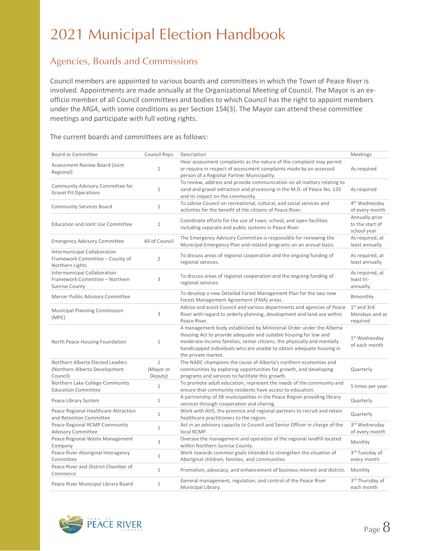### Agencies, Boards and Commissions

Council members are appointed to various boards and committees in which the Town of Peace River is involved. Appointments are made annually at the Organizational Meeting of Council. The Mayor is an exofficio member of all Council committees and bodies to which Council has the right to appoint members under the *MGA*, with some conditions as per Section 154(3). The Mayor can attend these committee meetings and participate with full voting rights.

The current boards and committees are as follows:

| <b>Board or Committee</b>                                                               | <b>Council Reps</b>                  | Description                                                                                                                                                                                                                                                                                                       | Meetings                                         |
|-----------------------------------------------------------------------------------------|--------------------------------------|-------------------------------------------------------------------------------------------------------------------------------------------------------------------------------------------------------------------------------------------------------------------------------------------------------------------|--------------------------------------------------|
| Assessment Review Board (Joint<br>Regional)                                             | $\mathbf{1}$                         | Hear assessment complaints as the nature of the complaint may permit<br>or require in respect of assessment complaints made by an assessed<br>person of a Regional Partner Municipality.                                                                                                                          | As required                                      |
| Community Advisory Committee for<br><b>Gravel Pit Operations</b>                        | $\mathbf{1}$                         | To review, address and provide communication on all matters relating to<br>sand and gravel extraction and processing in the M.D. of Peace No. 135<br>and its impact on the community.                                                                                                                             | As required                                      |
| <b>Community Services Board</b>                                                         | $\mathbf{1}$                         | To advise Council on recreational, cultural, and social services and<br>activities for the benefit of the citizens of Peace River.                                                                                                                                                                                | 4 <sup>th</sup> Wednesday<br>of every month      |
| <b>Education and Joint Use Committee</b>                                                | $\mathbf{1}$                         | Coordinate efforts for the use of town, school, and open facilities<br>including separate and public systems in Peace River.                                                                                                                                                                                      | Annually prior<br>to the start of<br>school year |
| <b>Emergency Advisory Committee</b>                                                     | All of Council                       | The Emergency Advisory Committee is responsible for reviewing the<br>Municipal Emergency Plan and related programs on an annual basis.                                                                                                                                                                            | As required, at<br>least annually                |
| Intermunicipal Collaboration<br>Framework Committee - County of<br>Northern Lights      | 2                                    | To discuss areas of regional cooperation and the ongoing funding of<br>regional services.                                                                                                                                                                                                                         | As required, at<br>least annually                |
| Intermunicipal Collaboration<br>Framework Committee - Northern<br><b>Sunrise County</b> | 3                                    | To discuss areas of regional cooperation and the ongoing funding of<br>regional services.                                                                                                                                                                                                                         | As required, at<br>least tri-<br>annually.       |
| Mercer Public Advisory Committee                                                        |                                      | To develop a new Detailed Forest Management Plan for the two new<br>Forest Management Agreement (FMA) areas.                                                                                                                                                                                                      | Bimonthly                                        |
| Municipal Planning Commission<br>(MPC)                                                  | 3                                    | Advise and assist Council and various departments and agencies of Peace<br>River with regard to orderly planning, development and land use within<br>Peace River.                                                                                                                                                 | $1st$ and 3rd<br>Mondays and as<br>required      |
| North Peace Housing Foundation                                                          | $\mathbf{1}$                         | A management body established by Ministerial Order under the Alberta<br>Housing Act to provide adequate and suitable housing for low and<br>moderate-income families, senior citizens, the physically and mentally<br>handicapped individuals who are unable to obtain adequate housing in<br>the private market. | 1st Wednesday<br>of each month                   |
| Northern Alberta Elected Leaders<br>(Northern Alberta Development<br>Council)           | $\mathbf{1}$<br>(Mayor or<br>Deputy) | The NADC champions the cause of Alberta's northern economies and<br>communities by exploring opportunities for growth, and developing<br>programs and services to facilitate this growth.                                                                                                                         | Quarterly                                        |
| Northern Lake College Community<br><b>Education Committee</b>                           | $\mathbf{1}$                         | To promote adult education, represent the needs of the community and<br>ensure that community residents have access to education.                                                                                                                                                                                 | 5 times per year                                 |
| Peace Library System                                                                    | $\mathbf{1}$                         | A partnership of 38 municipalities in the Peace Region providing library<br>services through cooperation and sharing.                                                                                                                                                                                             | Quarterly                                        |
| Peace Regional Healthcare Attraction<br>and Retention Committee                         | $\mathbf{1}$                         | Work with AHS, the province and regional partners to recruit and retain<br>healthcare practitioners to the region.                                                                                                                                                                                                | Quarterly                                        |
| Peace Regional RCMP Community<br><b>Advisory Committee</b>                              | $\mathbf{1}$                         | Act in an advisory capacity to Council and Senior Officer in charge of the<br>local RCMP.                                                                                                                                                                                                                         | 3rd Wednesday<br>of every month                  |
| Peace Regional Waste Management<br>Company                                              | 3                                    | Oversee the management and operation of the regional landfill located<br>within Northern Sunrise County.                                                                                                                                                                                                          | Monthly                                          |
| Peace River Aboriginal Interagency<br>Committee                                         | $\mathbf{1}$                         | Work towards common goals intended to strengthen the situation of<br>Aboriginal children, families, and communities                                                                                                                                                                                               | 3rd Tuesday of<br>every month                    |
| Peace River and District Chamber of<br>Commerce                                         | $\mathbf{1}$                         | Promotion, advocacy, and enhancement of business interest and district.                                                                                                                                                                                                                                           | Monthly                                          |
| Peace River Municipal Library Board                                                     | $\mathbf{1}$                         | General management, regulation, and control of the Peace River<br>Municipal Library.                                                                                                                                                                                                                              | 3rd Thursday of<br>each month                    |

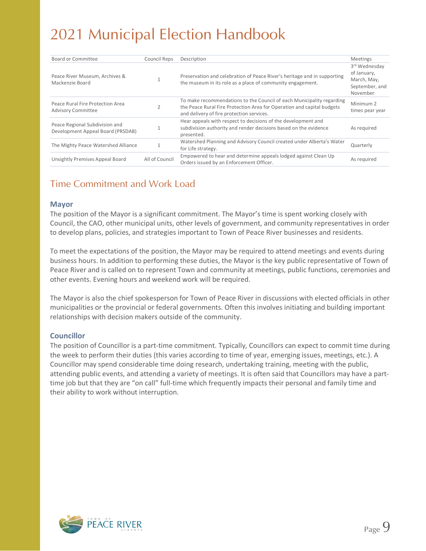| Board or Committee                                                  | Council Reps   | Description                                                                                                                                                                                  | <b>Meetings</b>                                                           |
|---------------------------------------------------------------------|----------------|----------------------------------------------------------------------------------------------------------------------------------------------------------------------------------------------|---------------------------------------------------------------------------|
| Peace River Museum, Archives &<br>Mackenzie Board                   |                | Preservation and celebration of Peace River's heritage and in supporting<br>the museum in its role as a place of community engagement.                                                       | 3rd Wednesdav<br>of January,<br>March, May,<br>September, and<br>November |
| Peace Rural Fire Protection Area<br><b>Advisory Committee</b>       |                | To make recommendations to the Council of each Municipality regarding<br>the Peace Rural Fire Protection Area for Operation and capital budgets<br>and delivery of fire protection services. | Minimum 2<br>times pear year                                              |
| Peace Regional Subdivision and<br>Development Appeal Board (PRSDAB) |                | Hear appeals with respect to decisions of the development and<br>subdivision authority and render decisions based on the evidence<br>presented.                                              | As required                                                               |
| The Mighty Peace Watershed Alliance                                 |                | Watershed Planning and Advisory Council created under Alberta's Water<br>for Life strategy.                                                                                                  | Quarterly                                                                 |
| Unsightly Premises Appeal Board                                     | All of Council | Empowered to hear and determine appeals lodged against Clean Up<br>Orders issued by an Enforcement Officer.                                                                                  | As reguired                                                               |
|                                                                     |                |                                                                                                                                                                                              |                                                                           |

### Time Commitment and Work Load

#### **Mayor**

The position of the Mayor is a significant commitment. The Mayor's time is spent working closely with Council, the CAO, other municipal units, other levels of government, and community representatives in order to develop plans, policies, and strategies important to Town of Peace River businesses and residents.

To meet the expectations of the position, the Mayor may be required to attend meetings and events during business hours. In addition to performing these duties, the Mayor is the key public representative of Town of Peace River and is called on to represent Town and community at meetings, public functions, ceremonies and other events. Evening hours and weekend work will be required.

The Mayor is also the chief spokesperson for Town of Peace River in discussions with elected officials in other municipalities or the provincial or federal governments. Often this involves initiating and building important relationships with decision makers outside of the community.

### **Councillor**

The position of Councillor is a part-time commitment. Typically, Councillors can expect to commit time during the week to perform their duties (this varies according to time of year, emerging issues, meetings, etc.). A Councillor may spend considerable time doing research, undertaking training, meeting with the public, attending public events, and attending a variety of meetings. It is often said that Councillors may have a parttime job but that they are "on call" full-time which frequently impacts their personal and family time and their ability to work without interruption.

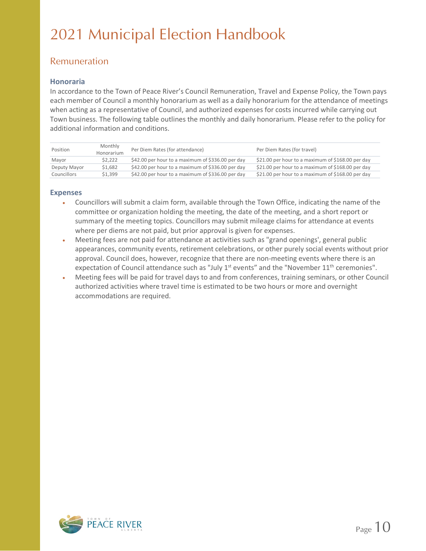### Remuneration

### **Honoraria**

In accordance to the Town of Peace River's Council Remuneration, Travel and Expense Policy, the Town pays each member of Council a monthly honorarium as well as a daily honorarium for the attendance of meetings when acting as a representative of Council, and authorized expenses for costs incurred while carrying out Town business. The following table outlines the monthly and daily honorarium. Please refer to the policy for additional information and conditions.

| Position     | Monthly<br>Honorarium | Per Diem Rates (for attendance)                   | Per Diem Rates (for travel)                       |
|--------------|-----------------------|---------------------------------------------------|---------------------------------------------------|
| Mayor        | \$2.222               | \$42.00 per hour to a maximum of \$336.00 per day | \$21.00 per hour to a maximum of \$168.00 per day |
| Deputy Mayor | \$1.682               | \$42.00 per hour to a maximum of \$336.00 per day | \$21.00 per hour to a maximum of \$168.00 per day |
| Councillors  | \$1.399               | \$42.00 per hour to a maximum of \$336.00 per day | \$21.00 per hour to a maximum of \$168.00 per day |

### **Expenses**

- Councillors will submit a claim form, available through the Town Office, indicating the name of the committee or organization holding the meeting, the date of the meeting, and a short report or summary of the meeting topics. Councillors may submit mileage claims for attendance at events where per diems are not paid, but prior approval is given for expenses.
- Meeting fees are not paid for attendance at activities such as "grand openings', general public appearances, community events, retirement celebrations, or other purely social events without prior approval. Council does, however, recognize that there are non-meeting events where there is an expectation of Council attendance such as "July 1<sup>st</sup> events" and the "November 11<sup>th</sup> ceremonies".
- Meeting fees will be paid for travel days to and from conferences, training seminars, or other Council authorized activities where travel time is estimated to be two hours or more and overnight accommodations are required.

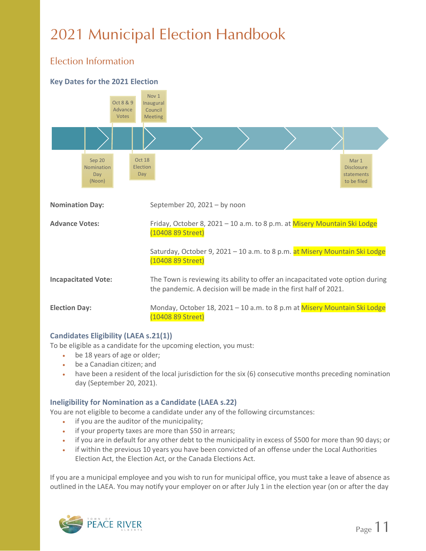### Election Information





### **Candidates Eligibility (LAEA s.21(1))**

To be eligible as a candidate for the upcoming election, you must:

- be 18 years of age or older;
- be a Canadian citizen; and
- have been a resident of the local jurisdiction for the six (6) consecutive months preceding nomination day (September 20, 2021).

### **Ineligibility for Nomination as a Candidate (LAEA s.22)**

You are not eligible to become a candidate under any of the following circumstances:

- if you are the auditor of the municipality;
- if your property taxes are more than \$50 in arrears;
- if you are in default for any other debt to the municipality in excess of \$500 for more than 90 days; or
- if within the previous 10 years you have been convicted of an offense under the Local Authorities Election Act, the Election Act, or the Canada Elections Act.

If you are a municipal employee and you wish to run for municipal office, you must take a leave of absence as outlined in the LAEA. You may notify your employer on or after July 1 in the election year (on or after the day

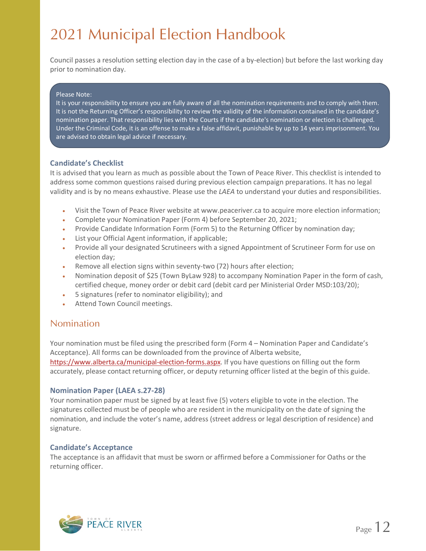Council passes a resolution setting election day in the case of a by-election) but before the last working day prior to nomination day.

#### Please Note:

It is your responsibility to ensure you are fully aware of all the nomination requirements and to comply with them. It is not the Returning Officer's responsibility to review the validity of the information contained in the candidate's nomination paper. That responsibility lies with the Courts if the candidate's nomination or election is challenged. Under the Criminal Code, it is an offense to make a false affidavit, punishable by up to 14 years imprisonment. You are advised to obtain legal advice if necessary.

#### **Candidate's Checklist**

It is advised that you learn as much as possible about the Town of Peace River. This checklist is intended to address some common questions raised during previous election campaign preparations. It has no legal validity and is by no means exhaustive. Please use the *LAEA* to understand your duties and responsibilities.

- Visit the Town of Peace River website at www.peaceriver.ca to acquire more election information;
- Complete your Nomination Paper (Form 4) before September 20, 2021;
- Provide Candidate Information Form (Form 5) to the Returning Officer by nomination day;
- List your Official Agent information, if applicable;
- Provide all your designated Scrutineers with a signed Appointment of Scrutineer Form for use on election day;
- Remove all election signs within seventy-two (72) hours after election;
- Nomination deposit of \$25 (Town ByLaw 928) to accompany Nomination Paper in the form of cash, certified cheque, money order or debit card (debit card per Ministerial Order MSD:103/20);
- 5 signatures (refer to nominator eligibility); and
- Attend Town Council meetings.

### Nomination

Your nomination must be filed using the prescribed form (Form 4 – Nomination Paper and Candidate's Acceptance). All forms can be downloaded from the province of Alberta website, [https://www.alberta.ca/municipal-election-forms.aspx.](https://www.alberta.ca/municipal-election-forms.aspx) If you have questions on filling out the form accurately, please contact returning officer, or deputy returning officer listed at the begin of this guide.

#### **Nomination Paper (LAEA s.27-28)**

Your nomination paper must be signed by at least five (5) voters eligible to vote in the election. The signatures collected must be of people who are resident in the municipality on the date of signing the nomination, and include the voter's name, address (street address or legal description of residence) and signature.

#### **Candidate's Acceptance**

The acceptance is an affidavit that must be sworn or affirmed before a Commissioner for Oaths or the returning officer.

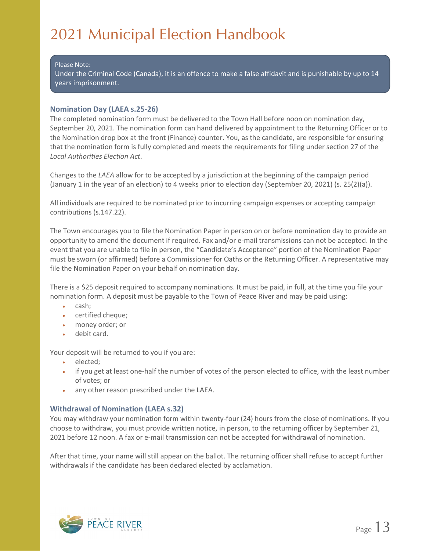#### Please Note:

Under the Criminal Code (Canada), it is an offence to make a false affidavit and is punishable by up to 14 years imprisonment.

### **Nomination Day (LAEA s.25-26)**

The completed nomination form must be delivered to the Town Hall before noon on nomination day, September 20, 2021. The nomination form can hand delivered by appointment to the Returning Officer or to the Nomination drop box at the front (Finance) counter. You, as the candidate, are responsible for ensuring that the nomination form is fully completed and meets the requirements for filing under section 27 of the *Local Authorities Election Act*.

Changes to the *LAEA* allow for to be accepted by a jurisdiction at the beginning of the campaign period (January 1 in the year of an election) to 4 weeks prior to election day (September 20, 2021) (s. 25(2)(a)).

All individuals are required to be nominated prior to incurring campaign expenses or accepting campaign contributions (s.147.22).

The Town encourages you to file the Nomination Paper in person on or before nomination day to provide an opportunity to amend the document if required. Fax and/or e-mail transmissions can not be accepted. In the event that you are unable to file in person, the "Candidate's Acceptance" portion of the Nomination Paper must be sworn (or affirmed) before a Commissioner for Oaths or the Returning Officer. A representative may file the Nomination Paper on your behalf on nomination day.

There is a \$25 deposit required to accompany nominations. It must be paid, in full, at the time you file your nomination form. A deposit must be payable to the Town of Peace River and may be paid using:

- cash;
- certified cheque;
- money order; or
- debit card.

Your deposit will be returned to you if you are:

- elected:
- if you get at least one-half the number of votes of the person elected to office, with the least number of votes; or
- any other reason prescribed under the LAEA.

### **Withdrawal of Nomination (LAEA s.32)**

You may withdraw your nomination form within twenty-four (24) hours from the close of nominations. If you choose to withdraw, you must provide written notice, in person, to the returning officer by September 21, 2021 before 12 noon. A fax or e-mail transmission can not be accepted for withdrawal of nomination.

After that time, your name will still appear on the ballot. The returning officer shall refuse to accept further withdrawals if the candidate has been declared elected by acclamation.

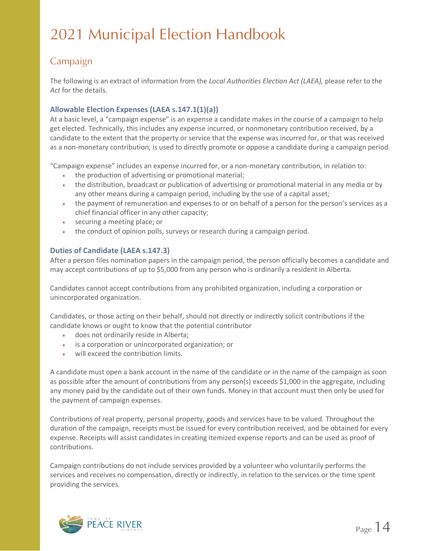### Campaign

The following is an extract of information from the *Local Authorities Election Act (LAEA),* please refer to the *Act* for the details.

### **Allowable Election Expenses (LAEA s.147.1(1)(a))**

At a basic level, a "campaign expense" is an expense a candidate makes in the course of a campaign to help get elected. Technically, this includes any expense incurred, or nonmonetary contribution received, by a candidate to the extent that the property or service that the expense was incurred for, or that was received as a non-monetary contribution, is used to directly promote or oppose a candidate during a campaign period.

"Campaign expense" includes an expense incurred for, or a non-monetary contribution, in relation to:

- the production of advertising or promotional material;
- the distribution, broadcast or publication of advertising or promotional material in any media or by any other means during a campaign period, including by the use of a capital asset;
- the payment of remuneration and expenses to or on behalf of a person for the person's services as a chief financial officer in any other capacity;
- securing a meeting place; or
- the conduct of opinion polls, surveys or research during a campaign period.

### **Duties of Candidate (LAEA s.147.3)**

After a person files nomination papers in the campaign period, the person officially becomes a candidate and may accept contributions of up to \$5,000 from any person who is ordinarily a resident in Alberta.

Candidates cannot accept contributions from any prohibited organization, including a corporation or unincorporated organization.

Candidates, or those acting on their behalf, should not directly or indirectly solicit contributions if the candidate knows or ought to know that the potential contributor

- does not ordinarily reside in Alberta;
- is a corporation or unincorporated organization; or
- will exceed the contribution limits.

A candidate must open a bank account in the name of the candidate or in the name of the campaign as soon as possible after the amount of contributions from any person(s) exceeds \$1,000 in the aggregate, including any money paid by the candidate out of their own funds. Money in that account must then only be used for the payment of campaign expenses.

Contributions of real property, personal property, goods and services have to be valued. Throughout the duration of the campaign, receipts must be issued for every contribution received, and be obtained for every expense. Receipts will assist candidates in creating itemized expense reports and can be used as proof of contributions.

Campaign contributions do not include services provided by a volunteer who voluntarily performs the services and receives no compensation, directly or indirectly, in relation to the services or the time spent providing the services.

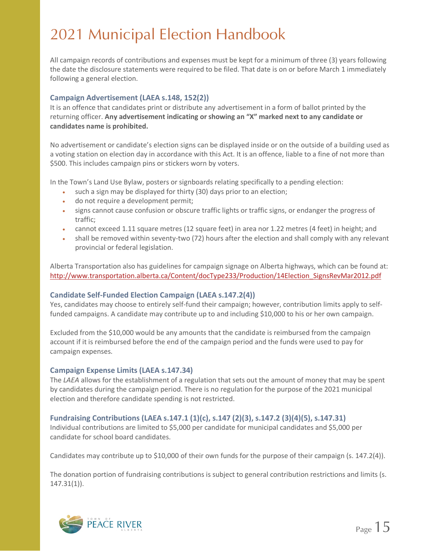All campaign records of contributions and expenses must be kept for a minimum of three (3) years following the date the disclosure statements were required to be filed. That date is on or before March 1 immediately following a general election.

### **Campaign Advertisement (LAEA s.148, 152(2))**

It is an offence that candidates print or distribute any advertisement in a form of ballot printed by the returning officer. **Any advertisement indicating or showing an "X" marked next to any candidate or candidates name is prohibited.** 

No advertisement or candidate's election signs can be displayed inside or on the outside of a building used as a voting station on election day in accordance with this Act. It is an offence, liable to a fine of not more than \$500. This includes campaign pins or stickers worn by voters.

In the Town's Land Use Bylaw, posters or signboards relating specifically to a pending election:

- such a sign may be displayed for thirty (30) days prior to an election;
- do not require a development permit;
- signs cannot cause confusion or obscure traffic lights or traffic signs, or endanger the progress of traffic;
- cannot exceed 1.11 square metres (12 square feet) in area nor 1.22 metres (4 feet) in height; and
- shall be removed within seventy-two (72) hours after the election and shall comply with any relevant provincial or federal legislation.

Alberta Transportation also has guidelines for campaign signage on Alberta highways, which can be found at: [http://www.transportation.alberta.ca/Content/docType233/Production/14Election\\_SignsRevMar2012.pdf](http://www.transportation.alberta.ca/Content/docType233/Production/14Election_SignsRevMar2012.pdf)

#### **Candidate Self-Funded Election Campaign (LAEA s.147.2(4))**

Yes, candidates may choose to entirely self-fund their campaign; however, contribution limits apply to selffunded campaigns. A candidate may contribute up to and including \$10,000 to his or her own campaign.

Excluded from the \$10,000 would be any amounts that the candidate is reimbursed from the campaign account if it is reimbursed before the end of the campaign period and the funds were used to pay for campaign expenses.

#### **Campaign Expense Limits (LAEA s.147.34)**

The *LAEA* allows for the establishment of a regulation that sets out the amount of money that may be spent by candidates during the campaign period. There is no regulation for the purpose of the 2021 municipal election and therefore candidate spending is not restricted.

#### **Fundraising Contributions (LAEA s.147.1 (1)(c), s.147 (2)(3), s.147.2 (3)(4)(5), s.147.31)**

Individual contributions are limited to \$5,000 per candidate for municipal candidates and \$5,000 per candidate for school board candidates.

Candidates may contribute up to \$10,000 of their own funds for the purpose of their campaign (s. 147.2(4)).

The donation portion of fundraising contributions is subject to general contribution restrictions and limits (s. 147.31(1)).

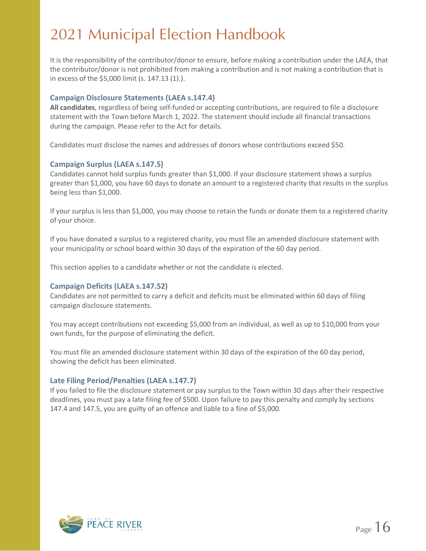It is the responsibility of the contributor/donor to ensure, before making a contribution under the LAEA, that the contributor/donor is not prohibited from making a contribution and is not making a contribution that is in excess of the \$5,000 limit (s. 147.13 (1).).

### **Campaign Disclosure Statements (LAEA s.147.4)**

**All candidates**, regardless of being self-funded or accepting contributions, are required to file a disclosure statement with the Town before March 1, 2022. The statement should include all financial transactions during the campaign. Please refer to the Act for details.

Candidates must disclose the names and addresses of donors whose contributions exceed \$50.

### **Campaign Surplus (LAEA s.147.5)**

Candidates cannot hold surplus funds greater than \$1,000. If your disclosure statement shows a surplus greater than \$1,000, you have 60 days to donate an amount to a registered charity that results in the surplus being less than \$1,000.

If your surplus is less than \$1,000, you may choose to retain the funds or donate them to a registered charity of your choice.

If you have donated a surplus to a registered charity, you must file an amended disclosure statement with your municipality or school board within 30 days of the expiration of the 60 day period.

This section applies to a candidate whether or not the candidate is elected.

#### **Campaign Deficits (LAEA s.147.52)**

Candidates are not permitted to carry a deficit and deficits must be eliminated within 60 days of filing campaign disclosure statements.

You may accept contributions not exceeding \$5,000 from an individual, as well as up to \$10,000 from your own funds, for the purpose of eliminating the deficit.

You must file an amended disclosure statement within 30 days of the expiration of the 60 day period, showing the deficit has been eliminated.

### **Late Filing Period/Penalties (LAEA s.147.7)**

If you failed to file the disclosure statement or pay surplus to the Town within 30 days after their respective deadlines, you must pay a late filing fee of \$500. Upon failure to pay this penalty and comply by sections 147.4 and 147.5, you are guilty of an offence and liable to a fine of \$5,000.

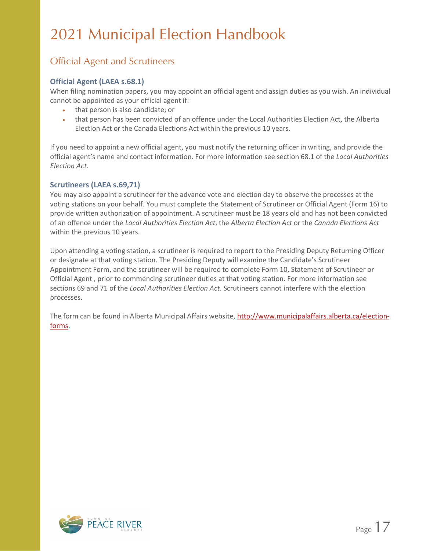### Official Agent and Scrutineers

### **Official Agent (LAEA s.68.1)**

When filing nomination papers, you may appoint an official agent and assign duties as you wish. An individual cannot be appointed as your official agent if:

- that person is also candidate; or
- that person has been convicted of an offence under the Local Authorities Election Act, the Alberta Election Act or the Canada Elections Act within the previous 10 years.

If you need to appoint a new official agent, you must notify the returning officer in writing, and provide the official agent's name and contact information. For more information see section 68.1 of the *Local Authorities Election Act*.

### **Scrutineers (LAEA s.69,71)**

You may also appoint a scrutineer for the advance vote and election day to observe the processes at the voting stations on your behalf. You must complete the Statement of Scrutineer or Official Agent (Form 16) to provide written authorization of appointment. A scrutineer must be 18 years old and has not been convicted of an offence under the *Local Authorities Election Act*, the *Alberta Election Act* or the *Canada Elections Act* within the previous 10 years.

Upon attending a voting station, a scrutineer is required to report to the Presiding Deputy Returning Officer or designate at that voting station. The Presiding Deputy will examine the Candidate's Scrutineer Appointment Form, and the scrutineer will be required to complete Form 10, Statement of Scrutineer or Official Agent , prior to commencing scrutineer duties at that voting station. For more information see sections 69 and 71 of the *Local Authorities Election Act*. Scrutineers cannot interfere with the election processes.

The form can be found in Alberta Municipal Affairs website, [http://www.municipalaffairs.alberta.ca/election](http://www.municipalaffairs.alberta.ca/election-forms)[forms.](http://www.municipalaffairs.alberta.ca/election-forms)

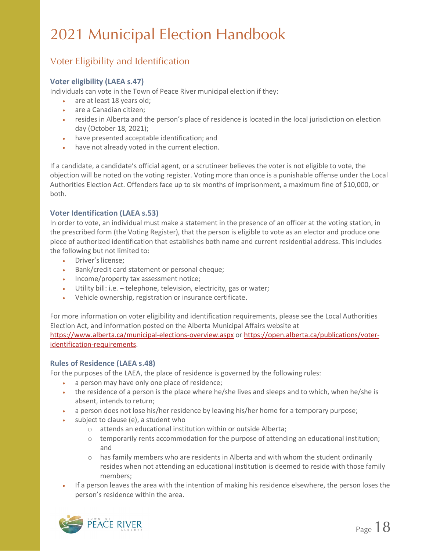### Voter Eligibility and Identification

### **Voter eligibility (LAEA s.47)**

Individuals can vote in the Town of Peace River municipal election if they:

- are at least 18 years old;
- are a Canadian citizen;
- resides in Alberta and the person's place of residence is located in the local jurisdiction on election day (October 18, 2021);
- have presented acceptable identification; and
- have not already voted in the current election.

If a candidate, a candidate's official agent, or a scrutineer believes the voter is not eligible to vote, the objection will be noted on the voting register. Voting more than once is a punishable offense under the Local Authorities Election Act. Offenders face up to six months of imprisonment, a maximum fine of \$10,000, or both.

### **Voter Identification (LAEA s.53)**

In order to vote, an individual must make a statement in the presence of an officer at the voting station, in the prescribed form (the Voting Register), that the person is eligible to vote as an elector and produce one piece of authorized identification that establishes both name and current residential address. This includes the following but not limited to:

- Driver's license;
- Bank/credit card statement or personal cheque;
- Income/property tax assessment notice;
- Utility bill: i.e. telephone, television, electricity, gas or water;
- Vehicle ownership, registration or insurance certificate.

For more information on voter eligibility and identification requirements, please see the Local Authorities Election Act, and information posted on the Alberta Municipal Affairs website at <https://www.alberta.ca/municipal-elections-overview.aspx> or [https://open.alberta.ca/publications/voter](https://open.alberta.ca/publications/voter-identification-requirements)[identification-requirements.](https://open.alberta.ca/publications/voter-identification-requirements)

### **Rules of Residence (LAEA s.48)**

For the purposes of the LAEA, the place of residence is governed by the following rules:

- a person may have only one place of residence;
- the residence of a person is the place where he/she lives and sleeps and to which, when he/she is absent, intends to return;
- a person does not lose his/her residence by leaving his/her home for a temporary purpose;
- subject to clause (e), a student who
	- o attends an educational institution within or outside Alberta;
	- $\circ$  temporarily rents accommodation for the purpose of attending an educational institution; and
	- $\circ$  has family members who are residents in Alberta and with whom the student ordinarily resides when not attending an educational institution is deemed to reside with those family members;
- If a person leaves the area with the intention of making his residence elsewhere, the person loses the person's residence within the area.

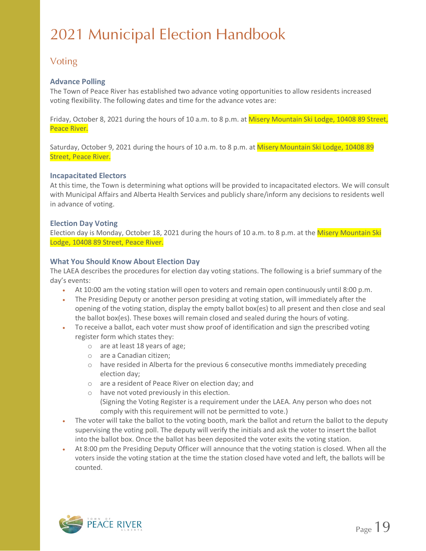### Voting

### **Advance Polling**

The Town of Peace River has established two advance voting opportunities to allow residents increased voting flexibility. The following dates and time for the advance votes are:

Friday, October 8, 2021 during the hours of 10 a.m. to 8 p.m. at Misery Mountain Ski Lodge, 10408 89 Street, Peace River.

Saturday, October 9, 2021 during the hours of 10 a.m. to 8 p.m. at Misery Mountain Ski Lodge, 10408 89 Street, Peace River.

#### **Incapacitated Electors**

At this time, the Town is determining what options will be provided to incapacitated electors. We will consult with Municipal Affairs and Alberta Health Services and publicly share/inform any decisions to residents well in advance of voting.

### **Election Day Voting**

Election day is Monday, October 18, 2021 during the hours of 10 a.m. to 8 p.m. at the Misery Mountain Ski Lodge, 10408 89 Street, Peace River.

### **What You Should Know About Election Day**

The LAEA describes the procedures for election day voting stations. The following is a brief summary of the day's events:

- At 10:00 am the voting station will open to voters and remain open continuously until 8:00 p.m.
- The Presiding Deputy or another person presiding at voting station, will immediately after the opening of the voting station, display the empty ballot box(es) to all present and then close and seal the ballot box(es). These boxes will remain closed and sealed during the hours of voting.
- To receive a ballot, each voter must show proof of identification and sign the prescribed voting register form which states they:
	- o are at least 18 years of age;
	- o are a Canadian citizen;
	- $\circ$  have resided in Alberta for the previous 6 consecutive months immediately preceding election day;
	- o are a resident of Peace River on election day; and
	- o have not voted previously in this election. (Signing the Voting Register is a requirement under the LAEA. Any person who does not comply with this requirement will not be permitted to vote.)
- The voter will take the ballot to the voting booth, mark the ballot and return the ballot to the deputy supervising the voting poll. The deputy will verify the initials and ask the voter to insert the ballot into the ballot box. Once the ballot has been deposited the voter exits the voting station.
- At 8:00 pm the Presiding Deputy Officer will announce that the voting station is closed. When all the voters inside the voting station at the time the station closed have voted and left, the ballots will be counted.